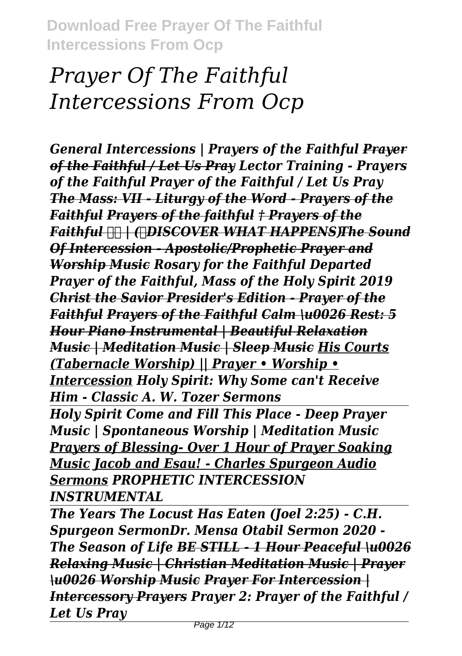# *Prayer Of The Faithful Intercessions From Ocp*

*General Intercessions | Prayers of the Faithful Prayer of the Faithful / Let Us Pray Lector Training - Prayers of the Faithful Prayer of the Faithful / Let Us Pray The Mass: VII - Liturgy of the Word - Prayers of the Faithful Prayers of the faithful † Prayers of the Faithful | (❤DISCOVER WHAT HAPPENS)The Sound Of Intercession - Apostolic/Prophetic Prayer and Worship Music Rosary for the Faithful Departed Prayer of the Faithful, Mass of the Holy Spirit 2019 Christ the Savior Presider's Edition - Prayer of the Faithful Prayers of the Faithful Calm \u0026 Rest: 5 Hour Piano Instrumental | Beautiful Relaxation Music | Meditation Music | Sleep Music His Courts (Tabernacle Worship) || Prayer • Worship • Intercession Holy Spirit: Why Some can't Receive Him - Classic A. W. Tozer Sermons Holy Spirit Come and Fill This Place - Deep Prayer Music | Spontaneous Worship | Meditation Music Prayers of Blessing- Over 1 Hour of Prayer Soaking Music Jacob and Esau! - Charles Spurgeon Audio Sermons PROPHETIC INTERCESSION INSTRUMENTAL*

*The Years The Locust Has Eaten (Joel 2:25) - C.H. Spurgeon SermonDr. Mensa Otabil Sermon 2020 - The Season of Life BE STILL - 1 Hour Peaceful \u0026 Relaxing Music | Christian Meditation Music | Prayer \u0026 Worship Music Prayer For Intercession | Intercessory Prayers Prayer 2: Prayer of the Faithful / Let Us Pray*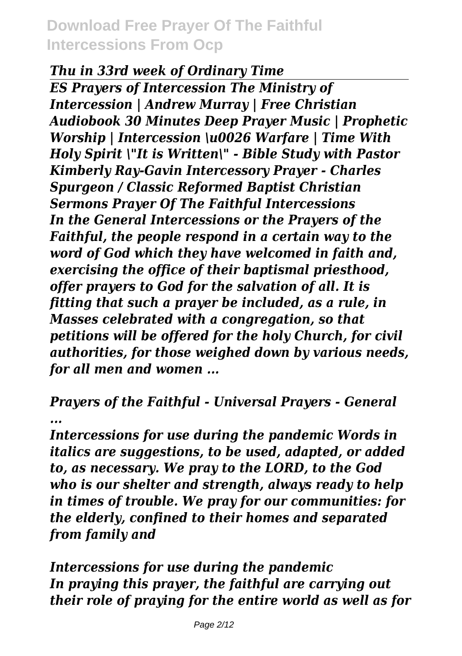#### *Thu in 33rd week of Ordinary Time*

*ES Prayers of Intercession The Ministry of Intercession | Andrew Murray | Free Christian Audiobook 30 Minutes Deep Prayer Music | Prophetic Worship | Intercession \u0026 Warfare | Time With Holy Spirit \"It is Written\" - Bible Study with Pastor Kimberly Ray-Gavin Intercessory Prayer - Charles Spurgeon / Classic Reformed Baptist Christian Sermons Prayer Of The Faithful Intercessions In the General Intercessions or the Prayers of the Faithful, the people respond in a certain way to the word of God which they have welcomed in faith and, exercising the office of their baptismal priesthood, offer prayers to God for the salvation of all. It is fitting that such a prayer be included, as a rule, in Masses celebrated with a congregation, so that petitions will be offered for the holy Church, for civil authorities, for those weighed down by various needs, for all men and women ...*

*Prayers of the Faithful - Universal Prayers - General ...*

*Intercessions for use during the pandemic Words in italics are suggestions, to be used, adapted, or added to, as necessary. We pray to the LORD, to the God who is our shelter and strength, always ready to help in times of trouble. We pray for our communities: for the elderly, confined to their homes and separated from family and*

*Intercessions for use during the pandemic In praying this prayer, the faithful are carrying out their role of praying for the entire world as well as for*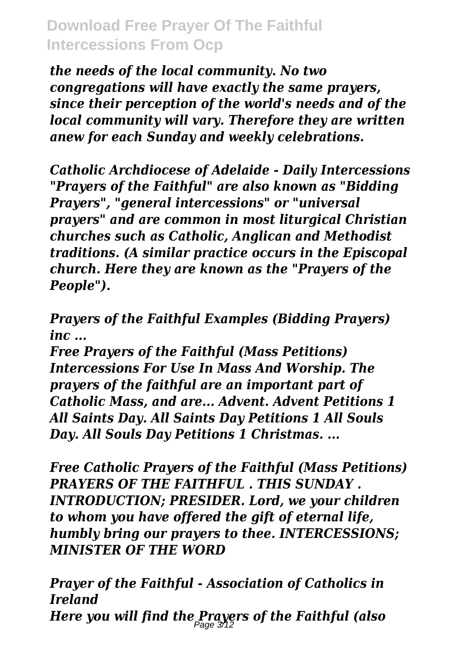*the needs of the local community. No two congregations will have exactly the same prayers, since their perception of the world's needs and of the local community will vary. Therefore they are written anew for each Sunday and weekly celebrations.*

*Catholic Archdiocese of Adelaide - Daily Intercessions "Prayers of the Faithful" are also known as "Bidding Prayers", "general intercessions" or "universal prayers" and are common in most liturgical Christian churches such as Catholic, Anglican and Methodist traditions. (A similar practice occurs in the Episcopal church. Here they are known as the "Prayers of the People").*

*Prayers of the Faithful Examples (Bidding Prayers) inc ...*

*Free Prayers of the Faithful (Mass Petitions) Intercessions For Use In Mass And Worship. The prayers of the faithful are an important part of Catholic Mass, and are... Advent. Advent Petitions 1 All Saints Day. All Saints Day Petitions 1 All Souls Day. All Souls Day Petitions 1 Christmas. ...*

*Free Catholic Prayers of the Faithful (Mass Petitions) PRAYERS OF THE FAITHFUL . THIS SUNDAY . INTRODUCTION; PRESIDER. Lord, we your children to whom you have offered the gift of eternal life, humbly bring our prayers to thee. INTERCESSIONS; MINISTER OF THE WORD*

*Prayer of the Faithful - Association of Catholics in Ireland Here you will find the Prayers of the Faithful (also* Page 3/12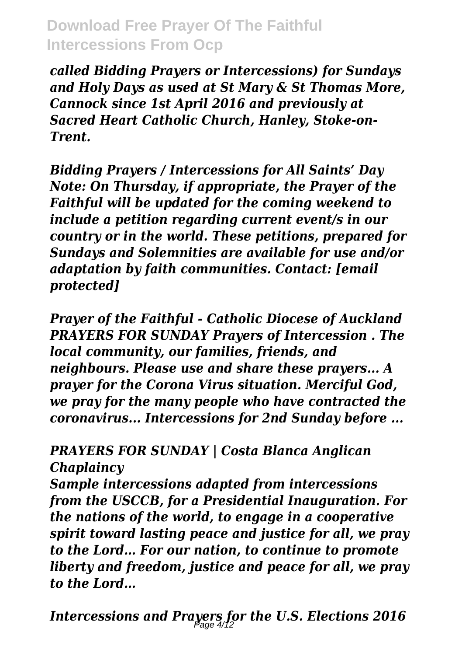*called Bidding Prayers or Intercessions) for Sundays and Holy Days as used at St Mary & St Thomas More, Cannock since 1st April 2016 and previously at Sacred Heart Catholic Church, Hanley, Stoke-on-Trent.*

*Bidding Prayers / Intercessions for All Saints' Day Note: On Thursday, if appropriate, the Prayer of the Faithful will be updated for the coming weekend to include a petition regarding current event/s in our country or in the world. These petitions, prepared for Sundays and Solemnities are available for use and/or adaptation by faith communities. Contact: [email protected]*

*Prayer of the Faithful - Catholic Diocese of Auckland PRAYERS FOR SUNDAY Prayers of Intercession . The local community, our families, friends, and neighbours. Please use and share these prayers... A prayer for the Corona Virus situation. Merciful God, we pray for the many people who have contracted the coronavirus... Intercessions for 2nd Sunday before ...*

#### *PRAYERS FOR SUNDAY | Costa Blanca Anglican Chaplaincy*

*Sample intercessions adapted from intercessions from the USCCB, for a Presidential Inauguration. For the nations of the world, to engage in a cooperative spirit toward lasting peace and justice for all, we pray to the Lord… For our nation, to continue to promote liberty and freedom, justice and peace for all, we pray to the Lord…*

*Intercessions and Prayers for the U.S. Elections 2016* Page 4/12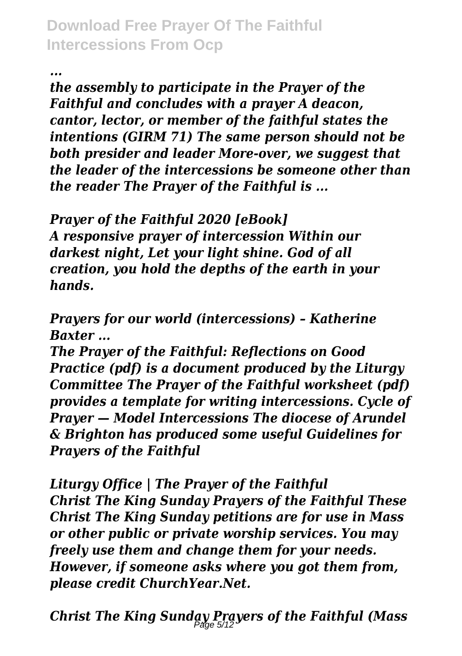*...*

*the assembly to participate in the Prayer of the Faithful and concludes with a prayer A deacon, cantor, lector, or member of the faithful states the intentions (GIRM 71) The same person should not be both presider and leader More-over, we suggest that the leader of the intercessions be someone other than the reader The Prayer of the Faithful is ...*

*Prayer of the Faithful 2020 [eBook] A responsive prayer of intercession Within our darkest night, Let your light shine. God of all creation, you hold the depths of the earth in your hands.*

*Prayers for our world (intercessions) – Katherine Baxter ...*

*The Prayer of the Faithful: Reflections on Good Practice (pdf) is a document produced by the Liturgy Committee The Prayer of the Faithful worksheet (pdf) provides a template for writing intercessions. Cycle of Prayer — Model Intercessions The diocese of Arundel & Brighton has produced some useful Guidelines for Prayers of the Faithful*

*Liturgy Office | The Prayer of the Faithful Christ The King Sunday Prayers of the Faithful These Christ The King Sunday petitions are for use in Mass or other public or private worship services. You may freely use them and change them for your needs. However, if someone asks where you got them from, please credit ChurchYear.Net.*

*Christ The King Sunday Prayers of the Faithful (Mass* Page 5/12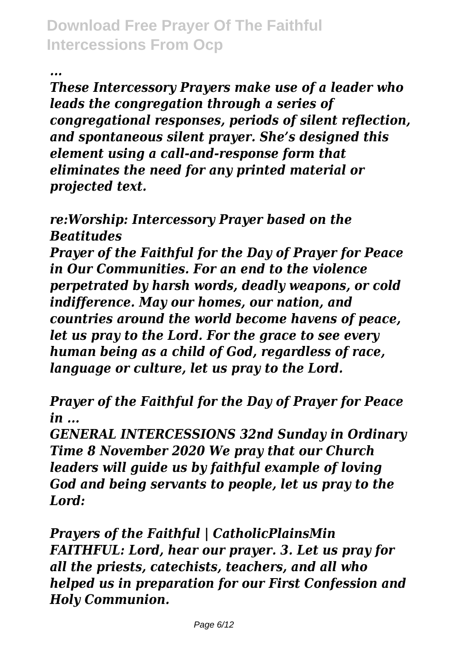*...*

*These Intercessory Prayers make use of a leader who leads the congregation through a series of congregational responses, periods of silent reflection, and spontaneous silent prayer. She's designed this element using a call-and-response form that eliminates the need for any printed material or projected text.*

*re:Worship: Intercessory Prayer based on the Beatitudes*

*Prayer of the Faithful for the Day of Prayer for Peace in Our Communities. For an end to the violence perpetrated by harsh words, deadly weapons, or cold indifference. May our homes, our nation, and countries around the world become havens of peace, let us pray to the Lord. For the grace to see every human being as a child of God, regardless of race, language or culture, let us pray to the Lord.*

*Prayer of the Faithful for the Day of Prayer for Peace in ...*

*GENERAL INTERCESSIONS 32nd Sunday in Ordinary Time 8 November 2020 We pray that our Church leaders will guide us by faithful example of loving God and being servants to people, let us pray to the Lord:*

*Prayers of the Faithful | CatholicPlainsMin FAITHFUL: Lord, hear our prayer. 3. Let us pray for all the priests, catechists, teachers, and all who helped us in preparation for our First Confession and Holy Communion.*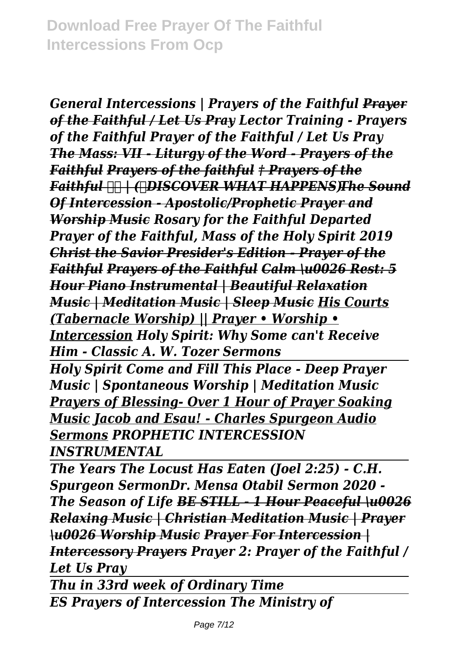*General Intercessions | Prayers of the Faithful Prayer of the Faithful / Let Us Pray Lector Training - Prayers of the Faithful Prayer of the Faithful / Let Us Pray The Mass: VII - Liturgy of the Word - Prayers of the Faithful Prayers of the faithful † Prayers of the Faithful | (❤DISCOVER WHAT HAPPENS)The Sound Of Intercession - Apostolic/Prophetic Prayer and Worship Music Rosary for the Faithful Departed Prayer of the Faithful, Mass of the Holy Spirit 2019 Christ the Savior Presider's Edition - Prayer of the Faithful Prayers of the Faithful Calm \u0026 Rest: 5 Hour Piano Instrumental | Beautiful Relaxation Music | Meditation Music | Sleep Music His Courts (Tabernacle Worship) || Prayer • Worship • Intercession Holy Spirit: Why Some can't Receive Him - Classic A. W. Tozer Sermons*

*Holy Spirit Come and Fill This Place - Deep Prayer Music | Spontaneous Worship | Meditation Music Prayers of Blessing- Over 1 Hour of Prayer Soaking Music Jacob and Esau! - Charles Spurgeon Audio Sermons PROPHETIC INTERCESSION INSTRUMENTAL*

*The Years The Locust Has Eaten (Joel 2:25) - C.H. Spurgeon SermonDr. Mensa Otabil Sermon 2020 - The Season of Life BE STILL - 1 Hour Peaceful \u0026 Relaxing Music | Christian Meditation Music | Prayer \u0026 Worship Music Prayer For Intercession | Intercessory Prayers Prayer 2: Prayer of the Faithful / Let Us Pray* 

*Thu in 33rd week of Ordinary Time ES Prayers of Intercession The Ministry of*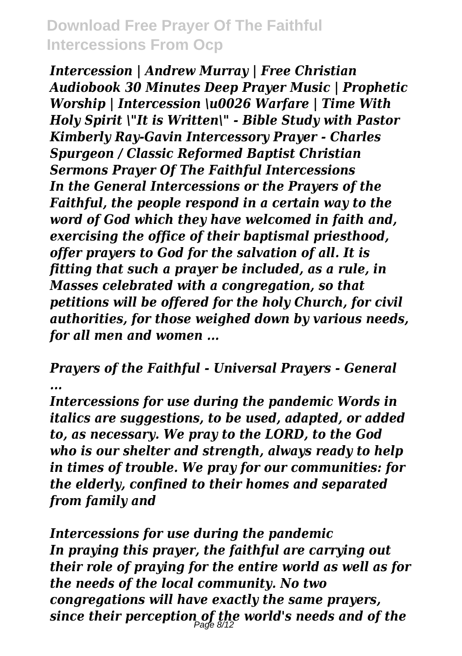*Intercession | Andrew Murray | Free Christian Audiobook 30 Minutes Deep Prayer Music | Prophetic Worship | Intercession \u0026 Warfare | Time With Holy Spirit \"It is Written\" - Bible Study with Pastor Kimberly Ray-Gavin Intercessory Prayer - Charles Spurgeon / Classic Reformed Baptist Christian Sermons Prayer Of The Faithful Intercessions In the General Intercessions or the Prayers of the Faithful, the people respond in a certain way to the word of God which they have welcomed in faith and, exercising the office of their baptismal priesthood, offer prayers to God for the salvation of all. It is fitting that such a prayer be included, as a rule, in Masses celebrated with a congregation, so that petitions will be offered for the holy Church, for civil authorities, for those weighed down by various needs, for all men and women ...*

*Prayers of the Faithful - Universal Prayers - General ...*

*Intercessions for use during the pandemic Words in italics are suggestions, to be used, adapted, or added to, as necessary. We pray to the LORD, to the God who is our shelter and strength, always ready to help in times of trouble. We pray for our communities: for the elderly, confined to their homes and separated from family and*

*Intercessions for use during the pandemic In praying this prayer, the faithful are carrying out their role of praying for the entire world as well as for the needs of the local community. No two congregations will have exactly the same prayers, since their perception of the world's needs and of the* Page 8/12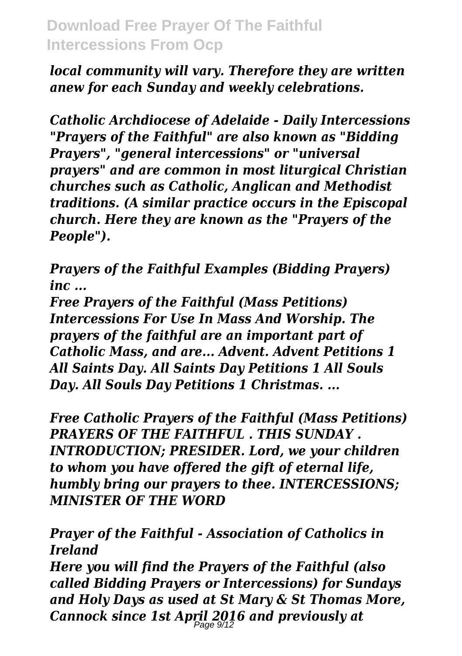*local community will vary. Therefore they are written anew for each Sunday and weekly celebrations.*

*Catholic Archdiocese of Adelaide - Daily Intercessions "Prayers of the Faithful" are also known as "Bidding Prayers", "general intercessions" or "universal prayers" and are common in most liturgical Christian churches such as Catholic, Anglican and Methodist traditions. (A similar practice occurs in the Episcopal church. Here they are known as the "Prayers of the People").*

*Prayers of the Faithful Examples (Bidding Prayers) inc ...*

*Free Prayers of the Faithful (Mass Petitions) Intercessions For Use In Mass And Worship. The prayers of the faithful are an important part of Catholic Mass, and are... Advent. Advent Petitions 1 All Saints Day. All Saints Day Petitions 1 All Souls Day. All Souls Day Petitions 1 Christmas. ...*

*Free Catholic Prayers of the Faithful (Mass Petitions) PRAYERS OF THE FAITHFUL . THIS SUNDAY . INTRODUCTION; PRESIDER. Lord, we your children to whom you have offered the gift of eternal life, humbly bring our prayers to thee. INTERCESSIONS; MINISTER OF THE WORD*

*Prayer of the Faithful - Association of Catholics in Ireland*

*Here you will find the Prayers of the Faithful (also called Bidding Prayers or Intercessions) for Sundays and Holy Days as used at St Mary & St Thomas More, Cannock since 1st April 2016 and previously at* Page 9/12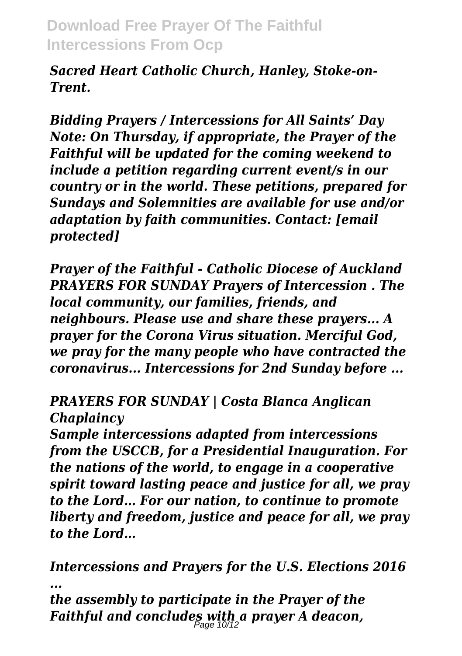*Sacred Heart Catholic Church, Hanley, Stoke-on-Trent.*

*Bidding Prayers / Intercessions for All Saints' Day Note: On Thursday, if appropriate, the Prayer of the Faithful will be updated for the coming weekend to include a petition regarding current event/s in our country or in the world. These petitions, prepared for Sundays and Solemnities are available for use and/or adaptation by faith communities. Contact: [email protected]*

*Prayer of the Faithful - Catholic Diocese of Auckland PRAYERS FOR SUNDAY Prayers of Intercession . The local community, our families, friends, and neighbours. Please use and share these prayers... A prayer for the Corona Virus situation. Merciful God, we pray for the many people who have contracted the coronavirus... Intercessions for 2nd Sunday before ...*

#### *PRAYERS FOR SUNDAY | Costa Blanca Anglican Chaplaincy*

*Sample intercessions adapted from intercessions from the USCCB, for a Presidential Inauguration. For the nations of the world, to engage in a cooperative spirit toward lasting peace and justice for all, we pray to the Lord… For our nation, to continue to promote liberty and freedom, justice and peace for all, we pray to the Lord…*

*Intercessions and Prayers for the U.S. Elections 2016 ...*

*the assembly to participate in the Prayer of the Faithful and concludes with a prayer A deacon,* Page 10/12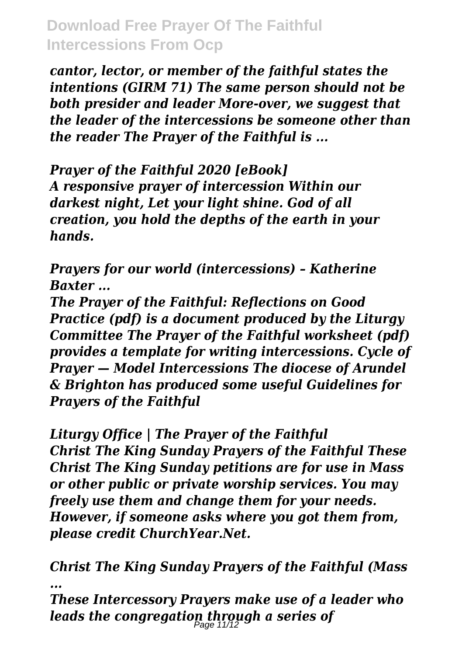*cantor, lector, or member of the faithful states the intentions (GIRM 71) The same person should not be both presider and leader More-over, we suggest that the leader of the intercessions be someone other than the reader The Prayer of the Faithful is ...*

*Prayer of the Faithful 2020 [eBook] A responsive prayer of intercession Within our darkest night, Let your light shine. God of all creation, you hold the depths of the earth in your hands.*

*Prayers for our world (intercessions) – Katherine Baxter ...*

*The Prayer of the Faithful: Reflections on Good Practice (pdf) is a document produced by the Liturgy Committee The Prayer of the Faithful worksheet (pdf) provides a template for writing intercessions. Cycle of Prayer — Model Intercessions The diocese of Arundel & Brighton has produced some useful Guidelines for Prayers of the Faithful*

*Liturgy Office | The Prayer of the Faithful Christ The King Sunday Prayers of the Faithful These Christ The King Sunday petitions are for use in Mass or other public or private worship services. You may freely use them and change them for your needs. However, if someone asks where you got them from, please credit ChurchYear.Net.*

*Christ The King Sunday Prayers of the Faithful (Mass ...*

*These Intercessory Prayers make use of a leader who leads the congregation through a series of* Page 11/12